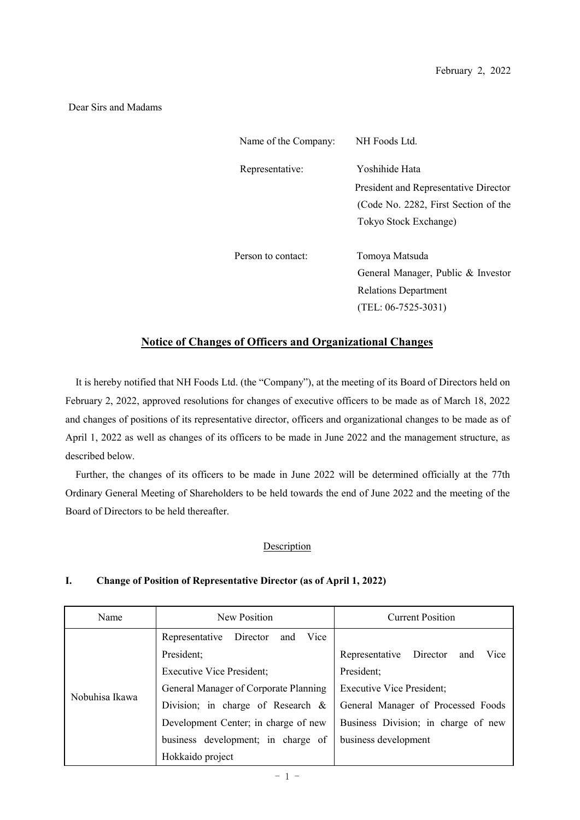#### Dear Sirs and Madams

| Name of the Company: | NH Foods Ltd.                         |
|----------------------|---------------------------------------|
| Representative:      | Yoshihide Hata                        |
|                      | President and Representative Director |
|                      | (Code No. 2282, First Section of the  |
|                      | Tokyo Stock Exchange)                 |
| Person to contact:   | Tomoya Matsuda                        |
|                      | General Manager, Public & Investor    |
|                      | Relations Department                  |
|                      | $(TEL: 06-7525-3031)$                 |

## **Notice of Changes of Officers and Organizational Changes**

It is hereby notified that NH Foods Ltd. (the "Company"), at the meeting of its Board of Directors held on February 2, 2022, approved resolutions for changes of executive officers to be made as of March 18, 2022 and changes of positions of its representative director, officers and organizational changes to be made as of April 1, 2022 as well as changes of its officers to be made in June 2022 and the management structure, as described below.

Further, the changes of its officers to be made in June 2022 will be determined officially at the 77th Ordinary General Meeting of Shareholders to be held towards the end of June 2022 and the meeting of the Board of Directors to be held thereafter.

#### Description

#### **I. Change of Position of Representative Director (as of April 1, 2022)**

| Name           | New Position                              | <b>Current Position</b>                |
|----------------|-------------------------------------------|----------------------------------------|
|                | Director<br>Representative<br>Vice<br>and |                                        |
| Nobuhisa Ikawa | President;                                | Representative Director<br>Vice<br>and |
|                | <b>Executive Vice President;</b>          | President;                             |
|                | General Manager of Corporate Planning     | <b>Executive Vice President;</b>       |
|                | Division; in charge of Research &         | General Manager of Processed Foods     |
|                | Development Center; in charge of new      | Business Division; in charge of new    |
|                | business development; in charge of        | business development                   |
|                | Hokkaido project                          |                                        |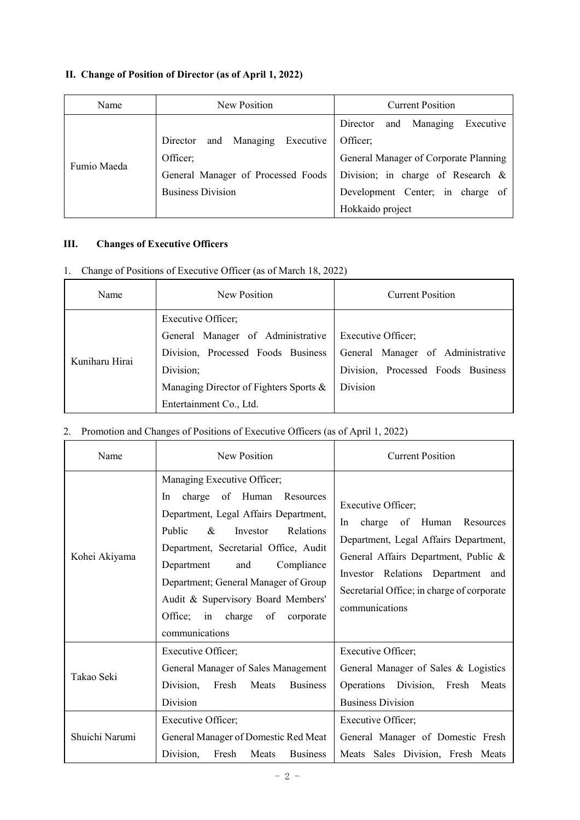### **II. Change of Position of Director (as of April 1, 2022)**

| Name        | New Position                       | <b>Current Position</b>               |
|-------------|------------------------------------|---------------------------------------|
|             |                                    | and Managing<br>Executive<br>Director |
| Fumio Maeda | Director and Managing<br>Executive | Officer;                              |
|             | Officer;                           | General Manager of Corporate Planning |
|             | General Manager of Processed Foods | Division; in charge of Research &     |
|             | <b>Business Division</b>           | Development Center; in charge of      |
|             |                                    | Hokkaido project                      |

#### **III. Changes of Executive Officers**

1. Change of Positions of Executive Officer (as of March 18, 2022)

| Name           | New Position                           | <b>Current Position</b>            |
|----------------|----------------------------------------|------------------------------------|
|                | Executive Officer;                     |                                    |
|                | General Manager of Administrative      | Executive Officer;                 |
| Kuniharu Hirai | Division, Processed Foods Business     | General Manager of Administrative  |
|                | Division;                              | Division, Processed Foods Business |
|                | Managing Director of Fighters Sports & | Division                           |
|                | Entertainment Co., Ltd.                |                                    |

# 2. Promotion and Changes of Positions of Executive Officers (as of April 1, 2022)

| Name           | New Position                                                                                                                                                                                                                                                                                                                                                         | <b>Current Position</b>                                                                                                                                                                                                                     |
|----------------|----------------------------------------------------------------------------------------------------------------------------------------------------------------------------------------------------------------------------------------------------------------------------------------------------------------------------------------------------------------------|---------------------------------------------------------------------------------------------------------------------------------------------------------------------------------------------------------------------------------------------|
| Kohei Akiyama  | Managing Executive Officer;<br>charge of Human Resources<br>In.<br>Department, Legal Affairs Department,<br>Public<br>$\&$<br>Relations<br>Investor<br>Department, Secretarial Office, Audit<br>and<br>Compliance<br>Department<br>Department; General Manager of Group<br>Audit & Supervisory Board Members'<br>Office; in charge of<br>corporate<br>communications | Executive Officer;<br>charge of Human Resources<br>In<br>Department, Legal Affairs Department,<br>General Affairs Department, Public &<br>Investor Relations Department and<br>Secretarial Office; in charge of corporate<br>communications |
| Takao Seki     | Executive Officer;<br>General Manager of Sales Management<br>Division,<br>Fresh<br>Meats<br><b>Business</b><br>Division<br>Executive Officer;                                                                                                                                                                                                                        | Executive Officer;<br>General Manager of Sales & Logistics<br>Operations Division, Fresh Meats<br><b>Business Division</b><br>Executive Officer;                                                                                            |
| Shuichi Narumi | General Manager of Domestic Red Meat<br>Division.<br>Fresh<br>Meats<br><b>Business</b>                                                                                                                                                                                                                                                                               | General Manager of Domestic Fresh<br>Meats Sales Division, Fresh Meats                                                                                                                                                                      |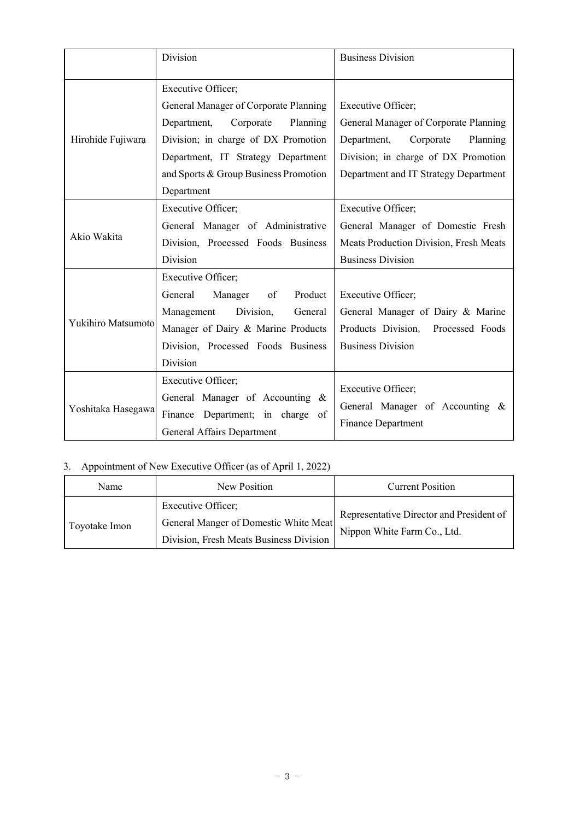|                    | Division                              | <b>Business Division</b>               |
|--------------------|---------------------------------------|----------------------------------------|
|                    |                                       |                                        |
|                    | <b>Executive Officer;</b>             |                                        |
|                    | General Manager of Corporate Planning | Executive Officer;                     |
|                    | Department,<br>Corporate<br>Planning  | General Manager of Corporate Planning  |
| Hirohide Fujiwara  | Division; in charge of DX Promotion   | Department, Corporate<br>Planning      |
|                    | Department, IT Strategy Department    | Division; in charge of DX Promotion    |
|                    | and Sports & Group Business Promotion | Department and IT Strategy Department  |
|                    | Department                            |                                        |
|                    | Executive Officer;                    | Executive Officer;                     |
|                    | General Manager of Administrative     | General Manager of Domestic Fresh      |
| Akio Wakita        | Division, Processed Foods Business    | Meats Production Division, Fresh Meats |
|                    | Division                              | <b>Business Division</b>               |
|                    | Executive Officer;                    |                                        |
|                    | Product<br>General<br>Manager<br>of   | Executive Officer;                     |
|                    | Management Division,<br>General       | General Manager of Dairy & Marine      |
| Yukihiro Matsumoto | Manager of Dairy & Marine Products    | Products Division, Processed Foods     |
|                    | Division, Processed Foods Business    | <b>Business Division</b>               |
|                    | Division                              |                                        |
|                    | Executive Officer;                    |                                        |
|                    | General Manager of Accounting &       | Executive Officer;                     |
| Yoshitaka Hasegawa | Finance Department; in charge of      | General Manager of Accounting &        |
|                    | General Affairs Department            | <b>Finance Department</b>              |

# 3. Appointment of New Executive Officer (as of April 1, 2022)

| Name          | New Position                                                                                           | <b>Current Position</b>                                                 |
|---------------|--------------------------------------------------------------------------------------------------------|-------------------------------------------------------------------------|
| Toyotake Imon | Executive Officer;<br>General Manger of Domestic White Meat<br>Division, Fresh Meats Business Division | Representative Director and President of<br>Nippon White Farm Co., Ltd. |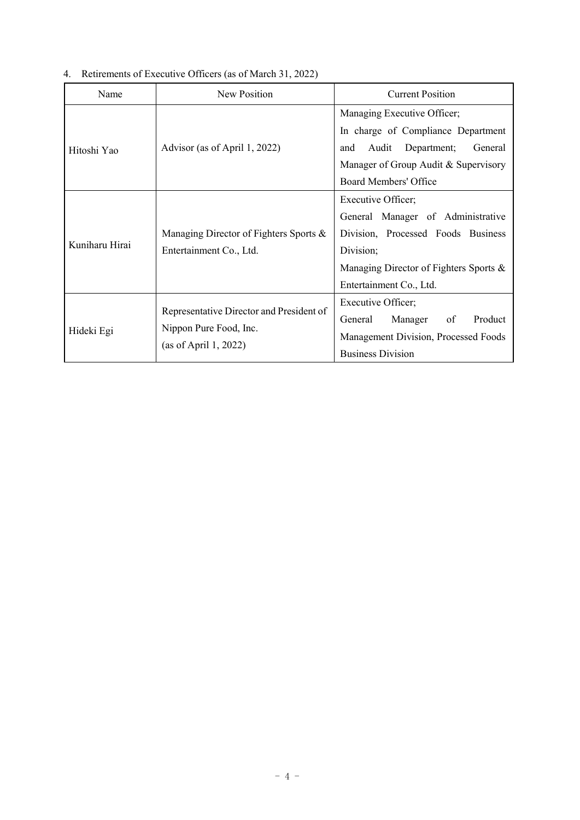| 4. Retirements of Executive Officers (as of March 31, 2022) |  |
|-------------------------------------------------------------|--|
|                                                             |  |

| Name           | New Position                                                                                | <b>Current Position</b>                                                                                                                                                         |
|----------------|---------------------------------------------------------------------------------------------|---------------------------------------------------------------------------------------------------------------------------------------------------------------------------------|
| Hitoshi Yao    | Advisor (as of April 1, 2022)                                                               | Managing Executive Officer;<br>In charge of Compliance Department<br>Audit Department;<br>General<br>and<br>Manager of Group Audit & Supervisory<br>Board Members' Office       |
| Kuniharu Hirai | Managing Director of Fighters Sports &<br>Entertainment Co., Ltd.                           | Executive Officer;<br>General Manager of Administrative<br>Division, Processed Foods Business<br>Division;<br>Managing Director of Fighters Sports &<br>Entertainment Co., Ltd. |
| Hideki Egi     | Representative Director and President of<br>Nippon Pure Food, Inc.<br>(as of April 1, 2022) | Executive Officer;<br>Product<br>General<br>Manager<br>of<br>Management Division, Processed Foods<br><b>Business Division</b>                                                   |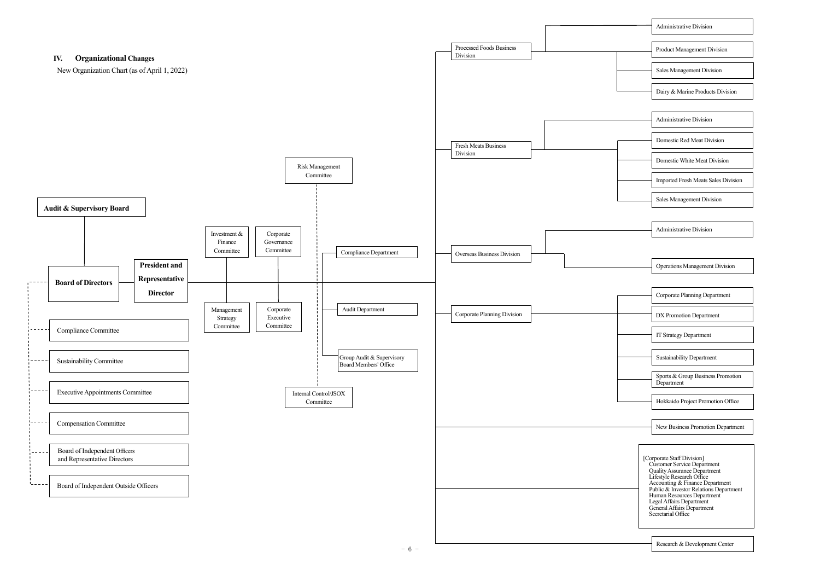Administrative Division

Sales Management Division

Dairy & Marine Products Division

Product Management Division

Administrative Division

| <b>Administrative Division</b> |
|--------------------------------|
|                                |

Domestic Red Meat Division

Domestic White Meat Division

Imported Fresh Meats Sales Division

Sales Management Division

Corporate Planning Department

DX Promotion Department

Research & Development Center



Hokkaido Project Promotion Office

Operations Management Division

IT Strategy Department

Sustainability Department

Sports & Group Business Promotion Department

New Business Promotion Department

[Corporate Staff Division] Customer Service Department Quality Assurance Department Lifestyle Research Office Accounting & Finance Department Public & Investor Relations Department Human Resources Department Legal Affairs Department General Affairs Department Secretarial Office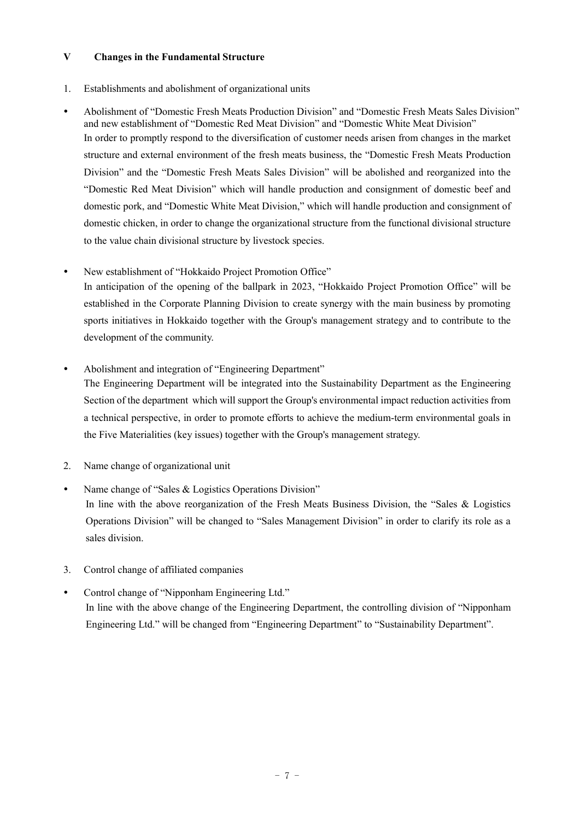#### **V Changes in the Fundamental Structure**

- 1. Establishments and abolishment of organizational units
- Abolishment of "Domestic Fresh Meats Production Division" and "Domestic Fresh Meats Sales Division" and new establishment of "Domestic Red Meat Division" and "Domestic White Meat Division" In order to promptly respond to the diversification of customer needs arisen from changes in the market structure and external environment of the fresh meats business, the "Domestic Fresh Meats Production Division" and the "Domestic Fresh Meats Sales Division" will be abolished and reorganized into the "Domestic Red Meat Division" which will handle production and consignment of domestic beef and domestic pork, and "Domestic White Meat Division," which will handle production and consignment of domestic chicken, in order to change the organizational structure from the functional divisional structure to the value chain divisional structure by livestock species.
- New establishment of "Hokkaido Project Promotion Office"

In anticipation of the opening of the ballpark in 2023, "Hokkaido Project Promotion Office" will be established in the Corporate Planning Division to create synergy with the main business by promoting sports initiatives in Hokkaido together with the Group's management strategy and to contribute to the development of the community.

Abolishment and integration of "Engineering Department"

The Engineering Department will be integrated into the Sustainability Department as the Engineering Section of the department which will support the Group's environmental impact reduction activities from a technical perspective, in order to promote efforts to achieve the medium-term environmental goals in the Five Materialities (key issues) together with the Group's management strategy.

- 2. Name change of organizational unit
- Name change of "Sales & Logistics Operations Division" In line with the above reorganization of the Fresh Meats Business Division, the "Sales & Logistics Operations Division" will be changed to "Sales Management Division" in order to clarify its role as a sales division.
- 3. Control change of affiliated companies
- Control change of "Nipponham Engineering Ltd." In line with the above change of the Engineering Department, the controlling division of "Nipponham Engineering Ltd." will be changed from "Engineering Department" to "Sustainability Department".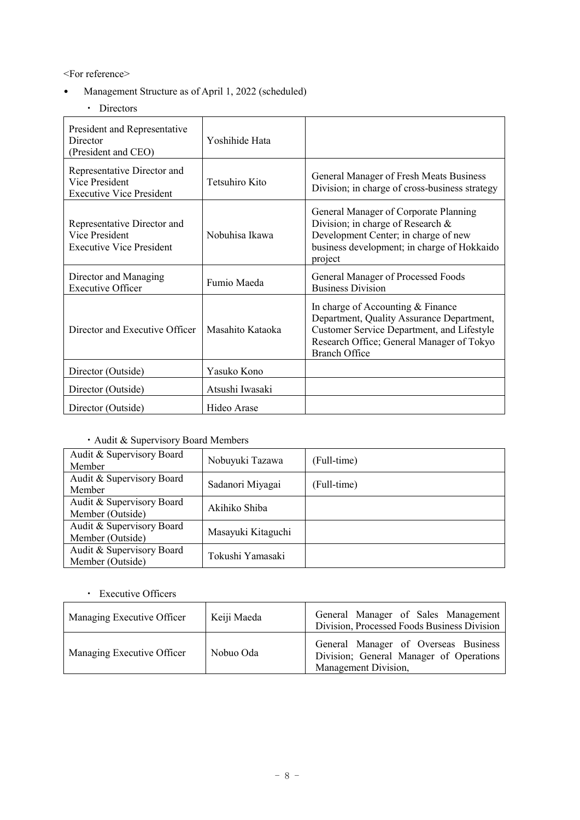<For reference>

- Management Structure as of April 1, 2022 (scheduled)
	- ・ Directors

| President and Representative<br>Director<br>(President and CEO)                  | Yoshihide Hata   |                                                                                                                                                                                                   |
|----------------------------------------------------------------------------------|------------------|---------------------------------------------------------------------------------------------------------------------------------------------------------------------------------------------------|
| Representative Director and<br>Vice President<br><b>Executive Vice President</b> | Tetsuhiro Kito   | General Manager of Fresh Meats Business<br>Division; in charge of cross-business strategy                                                                                                         |
| Representative Director and<br>Vice President<br><b>Executive Vice President</b> | Nobuhisa Ikawa   | General Manager of Corporate Planning<br>Division; in charge of Research &<br>Development Center; in charge of new<br>business development; in charge of Hokkaido<br>project                      |
| Director and Managing<br><b>Executive Officer</b>                                | Fumio Maeda      | General Manager of Processed Foods<br><b>Business Division</b>                                                                                                                                    |
| Director and Executive Officer                                                   | Masahito Kataoka | In charge of Accounting & Finance<br>Department, Quality Assurance Department,<br>Customer Service Department, and Lifestyle<br>Research Office; General Manager of Tokyo<br><b>Branch Office</b> |
| Director (Outside)                                                               | Yasuko Kono      |                                                                                                                                                                                                   |
| Director (Outside)                                                               | Atsushi Iwasaki  |                                                                                                                                                                                                   |
| Director (Outside)                                                               | Hideo Arase      |                                                                                                                                                                                                   |

# ・Audit & Supervisory Board Members

| Audit & Supervisory Board<br>Member           | Nobuyuki Tazawa    | (Full-time) |
|-----------------------------------------------|--------------------|-------------|
| Audit & Supervisory Board<br>Member           | Sadanori Miyagai   | (Full-time) |
| Audit & Supervisory Board<br>Member (Outside) | Akihiko Shiba      |             |
| Audit & Supervisory Board<br>Member (Outside) | Masayuki Kitaguchi |             |
| Audit & Supervisory Board<br>Member (Outside) | Tokushi Yamasaki   |             |

# ・ Executive Officers

| Managing Executive Officer | Keiji Maeda | General Manager of Sales Management<br>Division, Processed Foods Business Division                      |
|----------------------------|-------------|---------------------------------------------------------------------------------------------------------|
| Managing Executive Officer | Nobuo Oda   | General Manager of Overseas Business<br>Division; General Manager of Operations<br>Management Division, |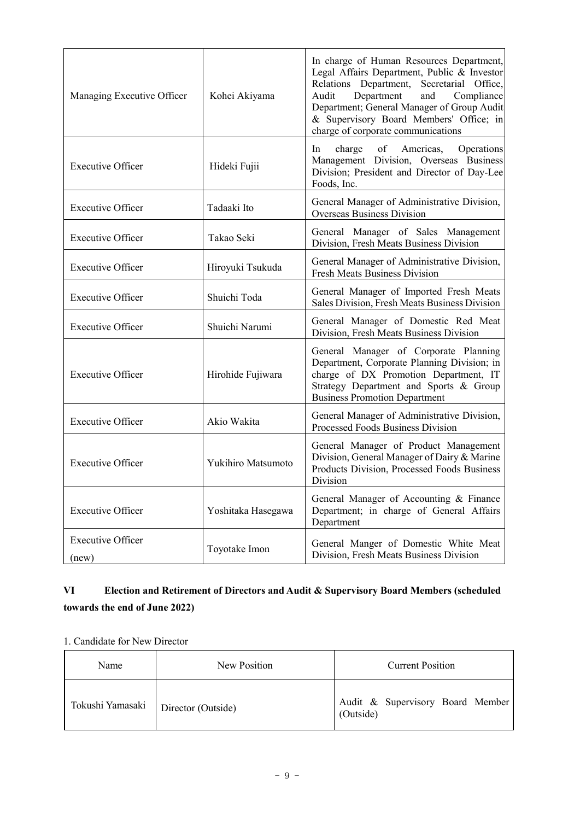| Managing Executive Officer        | Kohei Akiyama      | In charge of Human Resources Department,<br>Legal Affairs Department, Public & Investor<br>Relations Department, Secretarial Office,<br>Audit<br>and<br>Department<br>Compliance<br>Department; General Manager of Group Audit<br>& Supervisory Board Members' Office; in<br>charge of corporate communications |
|-----------------------------------|--------------------|-----------------------------------------------------------------------------------------------------------------------------------------------------------------------------------------------------------------------------------------------------------------------------------------------------------------|
| <b>Executive Officer</b>          | Hideki Fujii       | charge of<br>Americas,<br>Operations<br>$\ln$<br>Management Division, Overseas Business<br>Division; President and Director of Day-Lee<br>Foods, Inc.                                                                                                                                                           |
| <b>Executive Officer</b>          | Tadaaki Ito        | General Manager of Administrative Division,<br><b>Overseas Business Division</b>                                                                                                                                                                                                                                |
| <b>Executive Officer</b>          | Takao Seki         | General Manager of Sales Management<br>Division, Fresh Meats Business Division                                                                                                                                                                                                                                  |
| <b>Executive Officer</b>          | Hiroyuki Tsukuda   | General Manager of Administrative Division,<br><b>Fresh Meats Business Division</b>                                                                                                                                                                                                                             |
| <b>Executive Officer</b>          | Shuichi Toda       | General Manager of Imported Fresh Meats<br>Sales Division, Fresh Meats Business Division                                                                                                                                                                                                                        |
| <b>Executive Officer</b>          | Shuichi Narumi     | General Manager of Domestic Red Meat<br>Division, Fresh Meats Business Division                                                                                                                                                                                                                                 |
| <b>Executive Officer</b>          | Hirohide Fujiwara  | General Manager of Corporate Planning<br>Department, Corporate Planning Division; in<br>charge of DX Promotion Department, IT<br>Strategy Department and Sports & Group<br><b>Business Promotion Department</b>                                                                                                 |
| <b>Executive Officer</b>          | Akio Wakita        | General Manager of Administrative Division,<br>Processed Foods Business Division                                                                                                                                                                                                                                |
| <b>Executive Officer</b>          | Yukihiro Matsumoto | General Manager of Product Management<br>Division, General Manager of Dairy & Marine<br>Products Division, Processed Foods Business<br>Division                                                                                                                                                                 |
| <b>Executive Officer</b>          | Yoshitaka Hasegawa | General Manager of Accounting & Finance<br>Department; in charge of General Affairs<br>Department                                                                                                                                                                                                               |
| <b>Executive Officer</b><br>(new) | Toyotake Imon      | General Manger of Domestic White Meat<br>Division, Fresh Meats Business Division                                                                                                                                                                                                                                |

# **VI Election and Retirement of Directors and Audit & Supervisory Board Members (scheduled towards the end of June 2022)**

### 1. Candidate for New Director

| Name             | New Position       | <b>Current Position</b>                       |
|------------------|--------------------|-----------------------------------------------|
| Tokushi Yamasaki | Director (Outside) | Audit & Supervisory Board Member<br>(Outside) |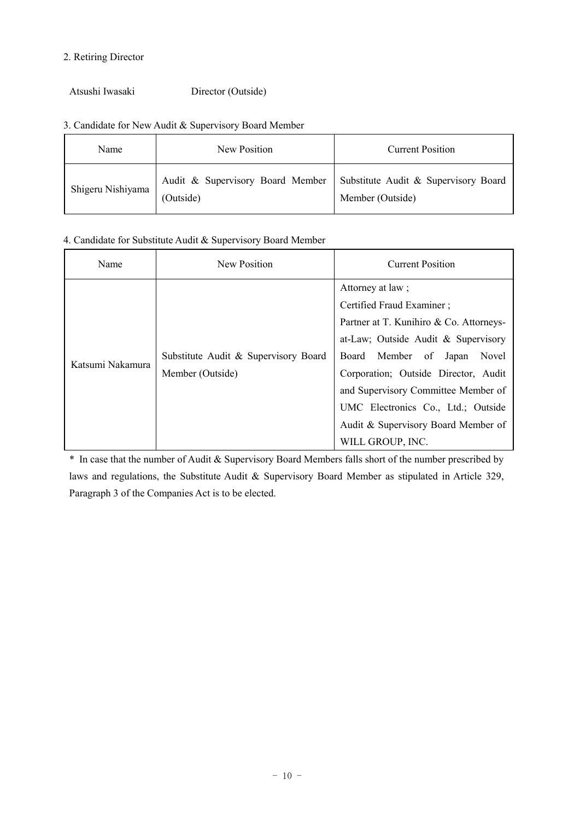### 2. Retiring Director

Atsushi Iwasaki Director (Outside)

### 3. Candidate for New Audit & Supervisory Board Member

| Name              | New Position | <b>Current Position</b>                                                                     |
|-------------------|--------------|---------------------------------------------------------------------------------------------|
| Shigeru Nishiyama | (Outside)    | Audit & Supervisory Board Member   Substitute Audit & Supervisory Board<br>Member (Outside) |

### 4. Candidate for Substitute Audit & Supervisory Board Member

| Name             | New Position                                             | <b>Current Position</b>                                                                                                                                                                                                                                                                                                                              |
|------------------|----------------------------------------------------------|------------------------------------------------------------------------------------------------------------------------------------------------------------------------------------------------------------------------------------------------------------------------------------------------------------------------------------------------------|
| Katsumi Nakamura | Substitute Audit & Supervisory Board<br>Member (Outside) | Attorney at law;<br>Certified Fraud Examiner;<br>Partner at T. Kunihiro & Co. Attorneys-<br>at-Law; Outside Audit & Supervisory<br>Board Member of<br>Japan<br>Novel<br>Corporation; Outside Director, Audit<br>and Supervisory Committee Member of<br>UMC Electronics Co., Ltd.; Outside<br>Audit & Supervisory Board Member of<br>WILL GROUP, INC. |

\* In case that the number of Audit & Supervisory Board Members falls short of the number prescribed by laws and regulations, the Substitute Audit & Supervisory Board Member as stipulated in Article 329, Paragraph 3 of the Companies Act is to be elected.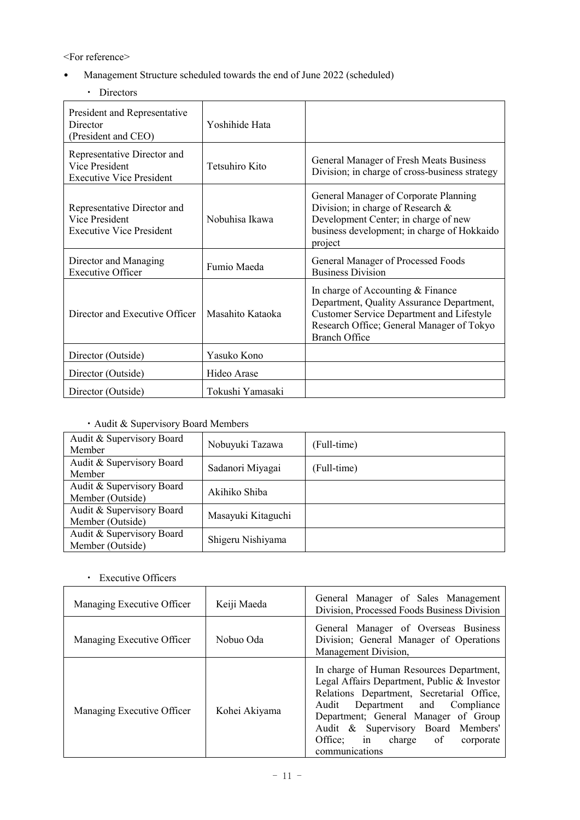<For reference>

- Management Structure scheduled towards the end of June 2022 (scheduled)
	- ・ Directors

| President and Representative<br>Director<br>(President and CEO)                  | Yoshihide Hata   |                                                                                                                                                                                                         |
|----------------------------------------------------------------------------------|------------------|---------------------------------------------------------------------------------------------------------------------------------------------------------------------------------------------------------|
| Representative Director and<br>Vice President<br><b>Executive Vice President</b> | Tetsuhiro Kito   | General Manager of Fresh Meats Business<br>Division; in charge of cross-business strategy                                                                                                               |
| Representative Director and<br>Vice President<br><b>Executive Vice President</b> | Nobuhisa Ikawa   | General Manager of Corporate Planning<br>Division; in charge of Research &<br>Development Center; in charge of new<br>business development; in charge of Hokkaido<br>project                            |
| Director and Managing<br><b>Executive Officer</b>                                | Fumio Maeda      | General Manager of Processed Foods<br><b>Business Division</b>                                                                                                                                          |
| Director and Executive Officer                                                   | Masahito Kataoka | In charge of Accounting & Finance<br>Department, Quality Assurance Department,<br><b>Customer Service Department and Lifestyle</b><br>Research Office; General Manager of Tokyo<br><b>Branch Office</b> |
| Director (Outside)                                                               | Yasuko Kono      |                                                                                                                                                                                                         |
| Director (Outside)                                                               | Hideo Arase      |                                                                                                                                                                                                         |
| Director (Outside)                                                               | Tokushi Yamasaki |                                                                                                                                                                                                         |

# ・Audit & Supervisory Board Members

| Audit & Supervisory Board<br>Member           | Nobuyuki Tazawa    | (Full-time) |
|-----------------------------------------------|--------------------|-------------|
| Audit & Supervisory Board<br>Member           | Sadanori Miyagai   | (Full-time) |
| Audit & Supervisory Board<br>Member (Outside) | Akihiko Shiba      |             |
| Audit & Supervisory Board<br>Member (Outside) | Masayuki Kitaguchi |             |
| Audit & Supervisory Board<br>Member (Outside) | Shigeru Nishiyama  |             |

・ Executive Officers

| Managing Executive Officer | Keiji Maeda   | General Manager of Sales Management<br>Division, Processed Foods Business Division                                                                                                                                                                                                                              |
|----------------------------|---------------|-----------------------------------------------------------------------------------------------------------------------------------------------------------------------------------------------------------------------------------------------------------------------------------------------------------------|
| Managing Executive Officer | Nobuo Oda     | General Manager of Overseas Business<br>Division; General Manager of Operations<br>Management Division,                                                                                                                                                                                                         |
| Managing Executive Officer | Kohei Akiyama | In charge of Human Resources Department,<br>Legal Affairs Department, Public & Investor<br>Relations Department, Secretarial Office,<br>Audit<br>Department and Compliance<br>Department; General Manager of Group<br>Audit & Supervisory Board Members'<br>Office; in charge of<br>corporate<br>communications |